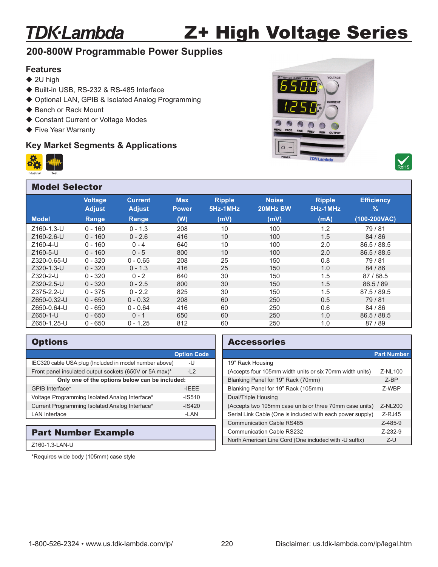## **TDK**·Lambda

# Z+ High Voltage Series

### **200-800W Programmable Power Supplies**

#### **Features**

- $\triangle$  2U high
- ◆ Built-in USB, RS-232 & RS-485 Interface
- Optional LAN, GPIB & Isolated Analog Programming
- ◆ Bench or Rack Mount
- ◆ Constant Current or Voltage Modes
- ◆ Five Year Warranty

### **Key Market Segments & Applications**







| <b>Model Selector</b> |                                 |                                 |                            |                           |                          |                           |                           |  |
|-----------------------|---------------------------------|---------------------------------|----------------------------|---------------------------|--------------------------|---------------------------|---------------------------|--|
|                       | <b>Voltage</b><br><b>Adjust</b> | <b>Current</b><br><b>Adjust</b> | <b>Max</b><br><b>Power</b> | <b>Ripple</b><br>5Hz-1MHz | <b>Noise</b><br>20MHz BW | <b>Ripple</b><br>5Hz-1MHz | <b>Efficiency</b><br>$\%$ |  |
| <b>Model</b>          | Range                           | Range                           | (W)                        | (mV)                      | (mV)                     | (mA)                      | (100-200VAC)              |  |
| Z160-1.3-U            | $0 - 160$                       | $0 - 1.3$                       | 208                        | 10                        | 100                      | 1.2                       | 79/81                     |  |
| Z160-2.6-U            | $0 - 160$                       | $0 - 2.6$                       | 416                        | 10                        | 100                      | 1.5                       | 84 / 86                   |  |
| Z160-4-U              | $0 - 160$                       | $0 - 4$                         | 640                        | 10                        | 100                      | 2.0                       | 86.5/88.5                 |  |
| Z160-5-U              | $0 - 160$                       | $0 - 5$                         | 800                        | 10                        | 100                      | 2.0                       | 86.5 / 88.5               |  |
| Z320-0.65-U           | $0 - 320$                       | $0 - 0.65$                      | 208                        | 25                        | 150                      | 0.8                       | 79/81                     |  |
| Z320-1.3-U            | $0 - 320$                       | $0 - 1.3$                       | 416                        | 25                        | 150                      | 1.0                       | 84/86                     |  |
| Z320-2-U              | $0 - 320$                       | $0 - 2$                         | 640                        | 30                        | 150                      | 1.5                       | 87/88.5                   |  |
| Z320-2.5-U            | $0 - 320$                       | $0 - 2.5$                       | 800                        | 30                        | 150                      | 1.5                       | 86.5 / 89                 |  |
| Z375-2.2-U            | $0 - 375$                       | $0 - 2.2$                       | 825                        | 30                        | 150                      | 1.5                       | 87.5 / 89.5               |  |
| Z650-0.32-U           | $0 - 650$                       | $0 - 0.32$                      | 208                        | 60                        | 250                      | 0.5                       | 79/81                     |  |
| Z650-0.64-U           | $0 - 650$                       | $0 - 0.64$                      | 416                        | 60                        | 250                      | 0.6                       | 84 / 86                   |  |
| Z650-1-U              | $0 - 650$                       | $0 - 1$                         | 650                        | 60                        | 250                      | 1.0                       | 86.5 / 88.5               |  |
| Z650-1.25-U           | $0 - 650$                       | $0 - 1.25$                      | 812                        | 60                        | 250                      | 1.0                       | 87/89                     |  |

| <b>Options</b>                                         |                    |  |  |  |  |  |
|--------------------------------------------------------|--------------------|--|--|--|--|--|
|                                                        | <b>Option Code</b> |  |  |  |  |  |
| IEC320 cable USA plug (Included in model number above) | -U                 |  |  |  |  |  |
| Front panel insulated output sockets (650V or 5A max)* | $-L2$              |  |  |  |  |  |
| Only one of the options below can be included:         |                    |  |  |  |  |  |
| GPIB Interface*                                        | $-I$ FFF           |  |  |  |  |  |
| Voltage Programming Isolated Analog Interface*         | $-15510$           |  |  |  |  |  |
| Current Programming Isolated Analog Interface*         | $-1S420$           |  |  |  |  |  |
| <b>LAN</b> Interface                                   | -LAN               |  |  |  |  |  |
|                                                        |                    |  |  |  |  |  |

## Part Number Example

Z160-1.3-LAN-U

\*Requires wide body (105mm) case style

#### Accessories

|                                                            | <b>Part Number</b> |
|------------------------------------------------------------|--------------------|
| 19" Rack Housing                                           |                    |
| (Accepts four 105mm width units or six 70mm width units)   | Z-NL100            |
| Blanking Panel for 19" Rack (70mm)                         | $7-BP$             |
| Blanking Panel for 19" Rack (105mm)                        | Z-WBP              |
| Dual/Triple Housing                                        |                    |
| (Accepts two 105mm case units or three 70mm case units)    | Z-NL200            |
| Serial Link Cable (One is included with each power supply) | $7 - R, 145$       |
| Communication Cable RS485                                  | $Z - 485 - 9$      |
| Communication Cable RS232                                  | $Z - 232 - 9$      |
| North American Line Cord (One included with -U suffix)     | $Z-U$              |